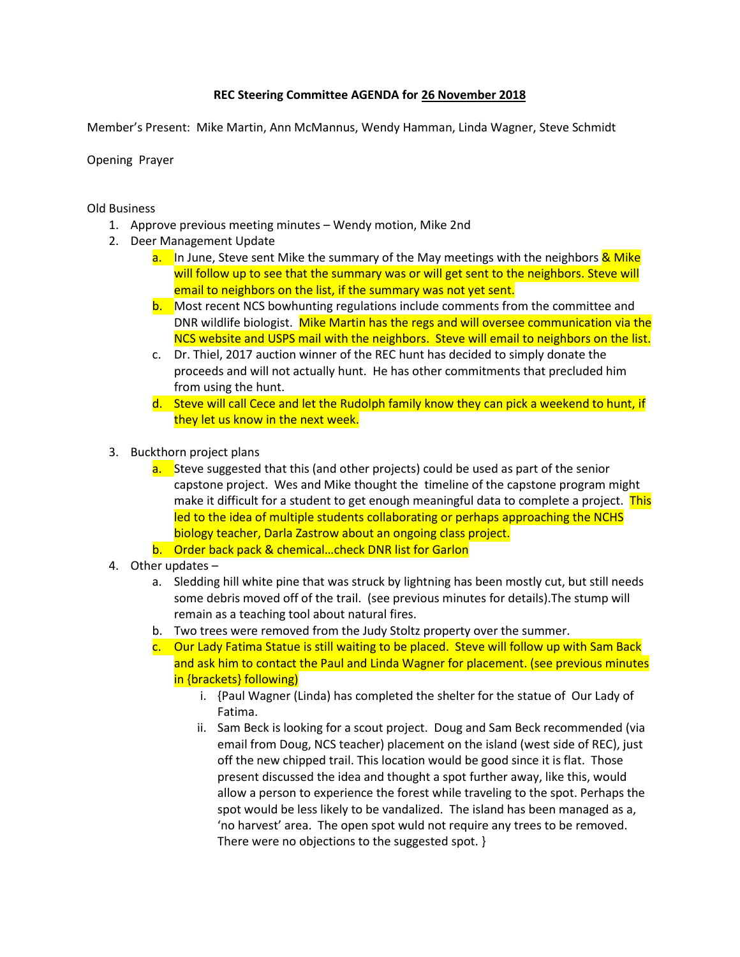## **REC Steering Committee AGENDA for 26 November 2018**

Member's Present: Mike Martin, Ann McMannus, Wendy Hamman, Linda Wagner, Steve Schmidt

Opening Prayer

Old Business

- 1. Approve previous meeting minutes Wendy motion, Mike 2nd
- 2. Deer Management Update
	- a. In June, Steve sent Mike the summary of the May meetings with the neighbors & Mike will follow up to see that the summary was or will get sent to the neighbors. Steve will email to neighbors on the list, if the summary was not yet sent.
	- b. Most recent NCS bowhunting regulations include comments from the committee and DNR wildlife biologist. Mike Martin has the regs and will oversee communication via the NCS website and USPS mail with the neighbors. Steve will email to neighbors on the list.
	- c. Dr. Thiel, 2017 auction winner of the REC hunt has decided to simply donate the proceeds and will not actually hunt. He has other commitments that precluded him from using the hunt.
	- d. Steve will call Cece and let the Rudolph family know they can pick a weekend to hunt, if they let us know in the next week.
- 3. Buckthorn project plans
	- a. Steve suggested that this (and other projects) could be used as part of the senior capstone project. Wes and Mike thought the timeline of the capstone program might make it difficult for a student to get enough meaningful data to complete a project. This led to the idea of multiple students collaborating or perhaps approaching the NCHS biology teacher, Darla Zastrow about an ongoing class project.
	- b. Order back pack & chemical…check DNR list for Garlon
- 4. Other updates
	- a. Sledding hill white pine that was struck by lightning has been mostly cut, but still needs some debris moved off of the trail. (see previous minutes for details).The stump will remain as a teaching tool about natural fires.
	- b. Two trees were removed from the Judy Stoltz property over the summer.
	- c. Our Lady Fatima Statue is still waiting to be placed. Steve will follow up with Sam Back and ask him to contact the Paul and Linda Wagner for placement. (see previous minutes in {brackets} following)
		- i. {Paul Wagner (Linda) has completed the shelter for the statue of Our Lady of Fatima.
		- ii. Sam Beck is looking for a scout project. Doug and Sam Beck recommended (via email from Doug, NCS teacher) placement on the island (west side of REC), just off the new chipped trail. This location would be good since it is flat. Those present discussed the idea and thought a spot further away, like this, would allow a person to experience the forest while traveling to the spot. Perhaps the spot would be less likely to be vandalized. The island has been managed as a, 'no harvest' area. The open spot wuld not require any trees to be removed. There were no objections to the suggested spot. }